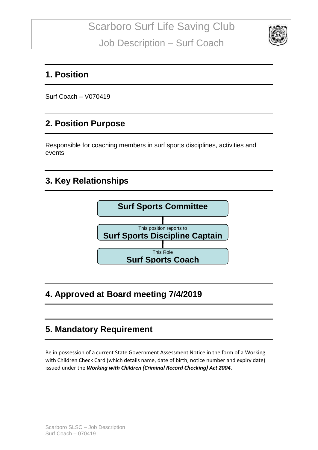

#### **1. Position**

Surf Coach – V070419

## **2. Position Purpose**

Responsible for coaching members in surf sports disciplines, activities and events

### **3. Key Relationships**



## **4. Approved at Board meeting 7/4/2019**

#### **5. Mandatory Requirement**

Be in possession of a current State Government Assessment Notice in the form of a Working with Children Check Card (which details name, date of birth, notice number and expiry date) issued under the *Working with Children (Criminal Record Checking) Act 2004*.